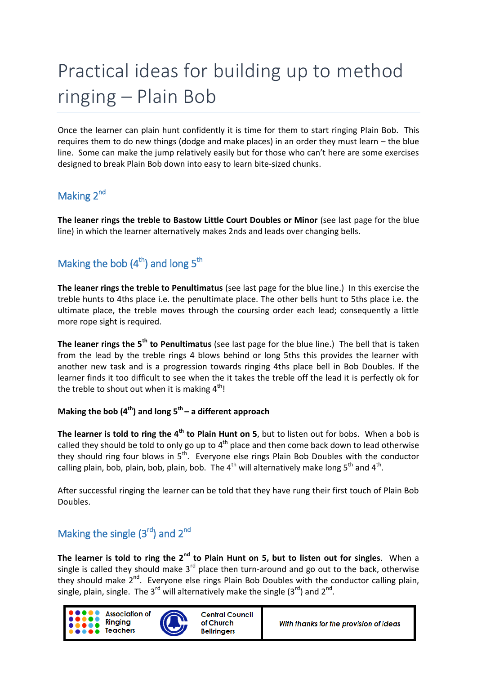# Practical ideas for building up to method ringing – Plain Bob

Once the learner can plain hunt confidently it is time for them to start ringing Plain Bob. This requires them to do new things (dodge and make places) in an order they must learn – the blue line. Some can make the jump relatively easily but for those who can't here are some exercises designed to break Plain Bob down into easy to learn bite-sized chunks.

# Making 2<sup>nd</sup>

**The leaner rings the treble to Bastow Little Court Doubles or Minor** (see last page for the blue line) in which the learner alternatively makes 2nds and leads over changing bells.

# Making the bob  $(4<sup>th</sup>)$  and long  $5<sup>th</sup>$

**The leaner rings the treble to Penultimatus** (see last page for the blue line.) In this exercise the treble hunts to 4ths place i.e. the penultimate place. The other bells hunt to 5ths place i.e. the ultimate place, the treble moves through the coursing order each lead; consequently a little more rope sight is required.

**The leaner rings the 5th to Penultimatus** (see last page for the blue line.) The bell that is taken from the lead by the treble rings 4 blows behind or long 5ths this provides the learner with another new task and is a progression towards ringing 4ths place bell in Bob Doubles. If the learner finds it too difficult to see when the it takes the treble off the lead it is perfectly ok for the treble to shout out when it is making  $4<sup>th</sup>$ !

#### **Making the bob (4th) and long 5th – a different approach**

**The learner is told to ring the 4th to Plain Hunt on 5**, but to listen out for bobs. When a bob is called they should be told to only go up to  $4<sup>th</sup>$  place and then come back down to lead otherwise they should ring four blows in 5<sup>th</sup>. Everyone else rings Plain Bob Doubles with the conductor calling plain, bob, plain, bob, plain, bob. The  $4^{th}$  will alternatively make long  $5^{th}$  and  $4^{th}$ .

After successful ringing the learner can be told that they have rung their first touch of Plain Bob Doubles.

## Making the single  $(3<sup>rd</sup>)$  and  $2<sup>nd</sup>$

The learner is told to ring the 2<sup>nd</sup> to Plain Hunt on 5, but to listen out for singles. When a single is called they should make  $3^{rd}$  place then turn-around and go out to the back, otherwise they should make 2<sup>nd</sup>. Everyone else rings Plain Bob Doubles with the conductor calling plain, single, plain, single. The 3<sup>rd</sup> will alternatively make the single (3<sup>rd</sup>) and 2<sup>nd</sup>.

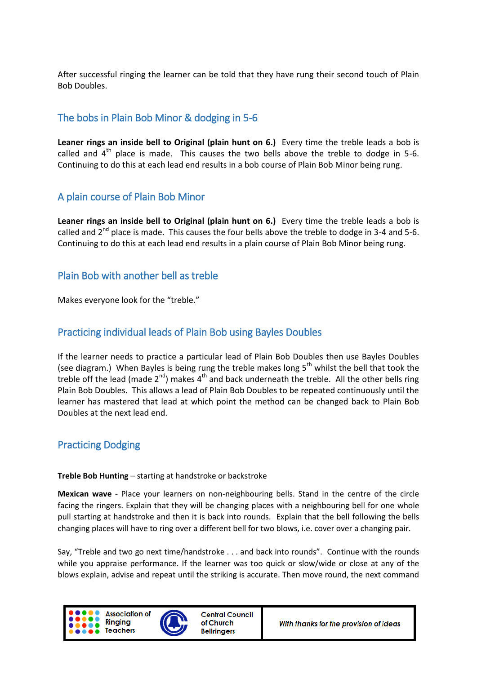After successful ringing the learner can be told that they have rung their second touch of Plain Bob Doubles.

### The bobs in Plain Bob Minor & dodging in 5-6

**Leaner rings an inside bell to Original (plain hunt on 6.)** Every time the treble leads a bob is called and  $4<sup>th</sup>$  place is made. This causes the two bells above the treble to dodge in 5-6. Continuing to do this at each lead end results in a bob course of Plain Bob Minor being rung.

#### A plain course of Plain Bob Minor

**Leaner rings an inside bell to Original (plain hunt on 6.)** Every time the treble leads a bob is called and  $2^{nd}$  place is made. This causes the four bells above the treble to dodge in 3-4 and 5-6. Continuing to do this at each lead end results in a plain course of Plain Bob Minor being rung.

#### Plain Bob with another bell as treble

Makes everyone look for the "treble."

#### Practicing individual leads of Plain Bob using Bayles Doubles

If the learner needs to practice a particular lead of Plain Bob Doubles then use Bayles Doubles (see diagram.) When Bayles is being rung the treble makes long  $5<sup>th</sup>$  whilst the bell that took the treble off the lead (made  $2^{nd}$ ) makes  $4^{th}$  and back underneath the treble. All the other bells ring Plain Bob Doubles. This allows a lead of Plain Bob Doubles to be repeated continuously until the learner has mastered that lead at which point the method can be changed back to Plain Bob Doubles at the next lead end.

#### Practicing Dodging

#### **Treble Bob Hunting** – starting at handstroke or backstroke

**Mexican wave** - Place your learners on non-neighbouring bells. Stand in the centre of the circle facing the ringers. Explain that they will be changing places with a neighbouring bell for one whole pull starting at handstroke and then it is back into rounds. Explain that the bell following the bells changing places will have to ring over a different bell for two blows, i.e. cover over a changing pair.

Say, "Treble and two go next time/handstroke . . . and back into rounds". Continue with the rounds while you appraise performance. If the learner was too quick or slow/wide or close at any of the blows explain, advise and repeat until the striking is accurate. Then move round, the next command